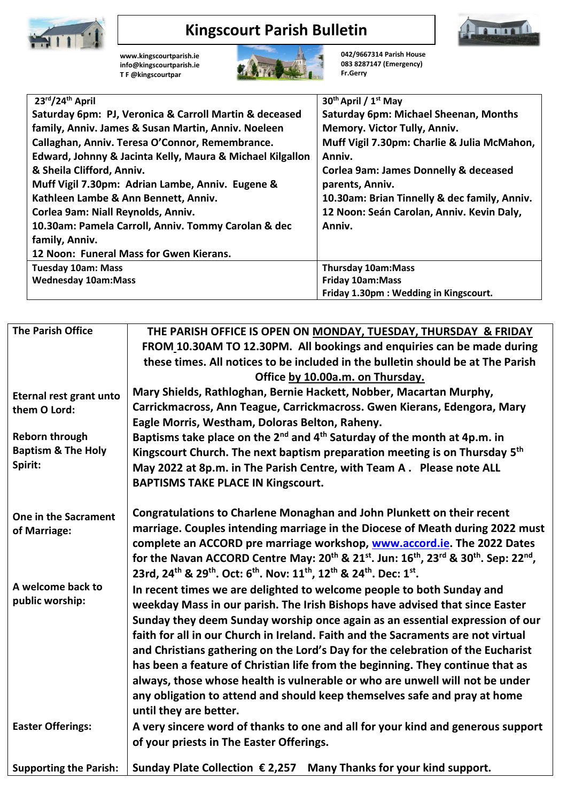

## **Kingscourt Parish Bulletin**

**Imma** 

**[www.kingscourtparish.ie](http://www.kingscourtparish.ie/) info@kingscourtparish.ie T F @kingscourtpar** 



**042/9667314 Parish House 083 8287147 (Emergency) Fr.Gerry**

| 23rd/24th April                                           | 30 <sup>th</sup> April / 1 <sup>st</sup> May     |  |
|-----------------------------------------------------------|--------------------------------------------------|--|
| Saturday 6pm: PJ, Veronica & Carroll Martin & deceased    | <b>Saturday 6pm: Michael Sheenan, Months</b>     |  |
| family, Anniv. James & Susan Martin, Anniv. Noeleen       | Memory. Victor Tully, Anniv.                     |  |
| Callaghan, Anniv. Teresa O'Connor, Remembrance.           | Muff Vigil 7.30pm: Charlie & Julia McMahon,      |  |
| Edward, Johnny & Jacinta Kelly, Maura & Michael Kilgallon | Anniv.                                           |  |
| & Sheila Clifford, Anniv.                                 | <b>Corlea 9am: James Donnelly &amp; deceased</b> |  |
| Muff Vigil 7.30pm: Adrian Lambe, Anniv. Eugene &          | parents, Anniv.                                  |  |
| Kathleen Lambe & Ann Bennett, Anniv.                      | 10.30am: Brian Tinnelly & dec family, Anniv.     |  |
| Corlea 9am: Niall Reynolds, Anniv.                        | 12 Noon: Seán Carolan, Anniv. Kevin Daly,        |  |
| 10.30am: Pamela Carroll, Anniv. Tommy Carolan & dec       | Anniv.                                           |  |
| family, Anniv.                                            |                                                  |  |
| 12 Noon: Funeral Mass for Gwen Kierans.                   |                                                  |  |
| <b>Tuesday 10am: Mass</b>                                 | <b>Thursday 10am:Mass</b>                        |  |
| <b>Wednesday 10am:Mass</b>                                | <b>Friday 10am:Mass</b>                          |  |
|                                                           | Friday 1.30pm: Wedding in Kingscourt.            |  |

| <b>The Parish Office</b>                                         | THE PARISH OFFICE IS OPEN ON MONDAY, TUESDAY, THURSDAY & FRIDAY<br>FROM 10.30AM TO 12.30PM. All bookings and enquiries can be made during<br>these times. All notices to be included in the bulletin should be at The Parish<br>Office by 10.00a.m. on Thursday.                                                                                                                                                                                                                                                                                                                                                                                                                      |
|------------------------------------------------------------------|---------------------------------------------------------------------------------------------------------------------------------------------------------------------------------------------------------------------------------------------------------------------------------------------------------------------------------------------------------------------------------------------------------------------------------------------------------------------------------------------------------------------------------------------------------------------------------------------------------------------------------------------------------------------------------------|
| Eternal rest grant unto<br>them O Lord:<br><b>Reborn through</b> | Mary Shields, Rathloghan, Bernie Hackett, Nobber, Macartan Murphy,<br>Carrickmacross, Ann Teague, Carrickmacross. Gwen Kierans, Edengora, Mary<br>Eagle Morris, Westham, Doloras Belton, Raheny.<br>Baptisms take place on the 2 <sup>nd</sup> and 4 <sup>th</sup> Saturday of the month at 4p.m. in                                                                                                                                                                                                                                                                                                                                                                                  |
| <b>Baptism &amp; The Holy</b><br>Spirit:                         | Kingscourt Church. The next baptism preparation meeting is on Thursday 5 <sup>th</sup><br>May 2022 at 8p.m. in The Parish Centre, with Team A. Please note ALL<br><b>BAPTISMS TAKE PLACE IN Kingscourt.</b>                                                                                                                                                                                                                                                                                                                                                                                                                                                                           |
| One in the Sacrament<br>of Marriage:                             | Congratulations to Charlene Monaghan and John Plunkett on their recent<br>marriage. Couples intending marriage in the Diocese of Meath during 2022 must<br>complete an ACCORD pre marriage workshop, www.accord.ie. The 2022 Dates<br>for the Navan ACCORD Centre May: 20 <sup>th</sup> & 21 <sup>st</sup> . Jun: 16 <sup>th</sup> , 23 <sup>rd</sup> & 30 <sup>th</sup> . Sep: 22 <sup>nd</sup> ,<br>23rd, 24 <sup>th</sup> & 29 <sup>th</sup> . Oct: 6 <sup>th</sup> . Nov: 11 <sup>th</sup> , 12 <sup>th</sup> & 24 <sup>th</sup> . Dec: 1 <sup>st</sup> .                                                                                                                         |
| A welcome back to<br>public worship:                             | In recent times we are delighted to welcome people to both Sunday and<br>weekday Mass in our parish. The Irish Bishops have advised that since Easter<br>Sunday they deem Sunday worship once again as an essential expression of our<br>faith for all in our Church in Ireland. Faith and the Sacraments are not virtual<br>and Christians gathering on the Lord's Day for the celebration of the Eucharist<br>has been a feature of Christian life from the beginning. They continue that as<br>always, those whose health is vulnerable or who are unwell will not be under<br>any obligation to attend and should keep themselves safe and pray at home<br>until they are better. |
| <b>Easter Offerings:</b>                                         | A very sincere word of thanks to one and all for your kind and generous support<br>of your priests in The Easter Offerings.                                                                                                                                                                                                                                                                                                                                                                                                                                                                                                                                                           |
| <b>Supporting the Parish:</b>                                    | Sunday Plate Collection $\epsilon$ 2,257 Many Thanks for your kind support.                                                                                                                                                                                                                                                                                                                                                                                                                                                                                                                                                                                                           |